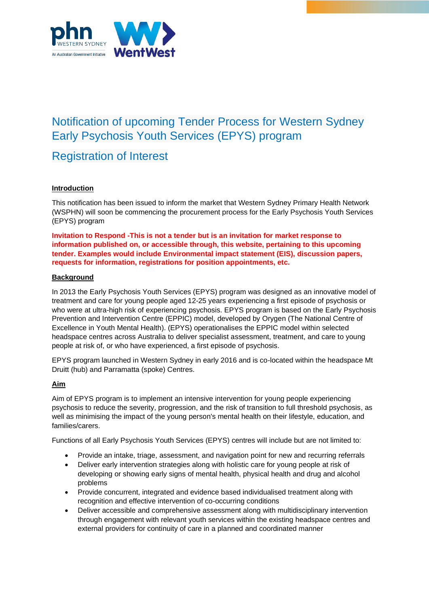

# Notification of upcoming Tender Process for Western Sydney Early Psychosis Youth Services (EPYS) program

# Registration of Interest

# **Introduction**

This notification has been issued to inform the market that Western Sydney Primary Health Network (WSPHN) will soon be commencing the procurement process for the Early Psychosis Youth Services (EPYS) program

**Invitation to Respond -This is not a tender but is an invitation for market response to information published on, or accessible through, this website, pertaining to this upcoming tender. Examples would include Environmental impact statement (EIS), discussion papers, requests for information, registrations for position appointments, etc.**

### **Background**

In 2013 the Early Psychosis Youth Services (EPYS) program was designed as an innovative model of treatment and care for young people aged 12-25 years experiencing a first episode of psychosis or who were at ultra-high risk of experiencing psychosis. EPYS program is based on the Early Psychosis Prevention and Intervention Centre (EPPIC) model, developed by Orygen (The National Centre of Excellence in Youth Mental Health). (EPYS) operationalises the EPPIC model within selected headspace centres across Australia to deliver specialist assessment, treatment, and care to young people at risk of, or who have experienced, a first episode of psychosis.

EPYS program launched in Western Sydney in early 2016 and is co-located within the headspace Mt Druitt (hub) and Parramatta (spoke) Centres.

## **Aim**

Aim of EPYS program is to implement an intensive intervention for young people experiencing psychosis to reduce the severity, progression, and the risk of transition to full threshold psychosis, as well as minimising the impact of the young person's mental health on their lifestyle, education, and families/carers.

Functions of all Early Psychosis Youth Services (EPYS) centres will include but are not limited to:

- Provide an intake, triage, assessment, and navigation point for new and recurring referrals
- Deliver early intervention strategies along with holistic care for young people at risk of developing or showing early signs of mental health, physical health and drug and alcohol problems
- Provide concurrent, integrated and evidence based individualised treatment along with recognition and effective intervention of co-occurring conditions
- Deliver accessible and comprehensive assessment along with multidisciplinary intervention through engagement with relevant youth services within the existing headspace centres and external providers for continuity of care in a planned and coordinated manner